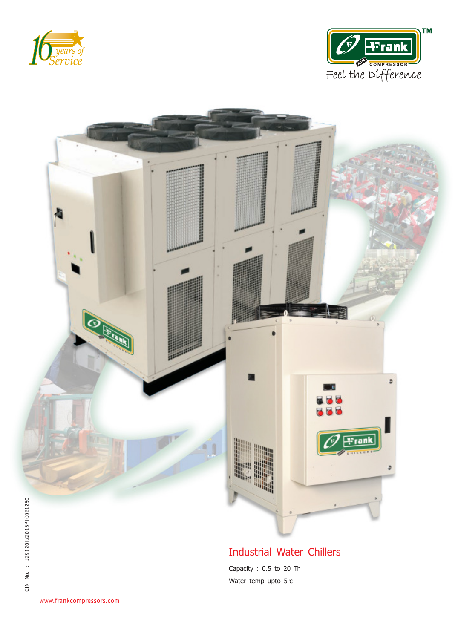





## **Industrial Water Chillers**

Capacity: 0.5 to 20 Tr Water temp upto 5°c